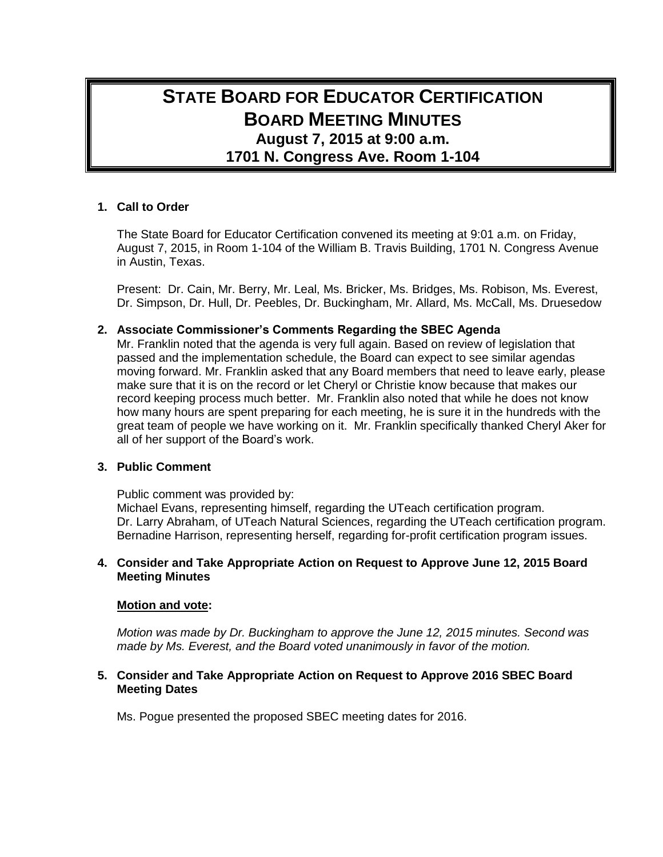# **STATE BOARD FOR EDUCATOR CERTIFICATION BOARD MEETING MINUTES August 7, 2015 at 9:00 a.m. 1701 N. Congress Ave. Room 1-104**

# **1. Call to Order**

The State Board for Educator Certification convened its meeting at 9:01 a.m. on Friday, August 7, 2015, in Room 1-104 of the William B. Travis Building, 1701 N. Congress Avenue in Austin, Texas.

Present: Dr. Cain, Mr. Berry, Mr. Leal, Ms. Bricker, Ms. Bridges, Ms. Robison, Ms. Everest, Dr. Simpson, Dr. Hull, Dr. Peebles, Dr. Buckingham, Mr. Allard, Ms. McCall, Ms. Druesedow

# **2. Associate Commissioner's Comments Regarding the SBEC Agenda**

Mr. Franklin noted that the agenda is very full again. Based on review of legislation that passed and the implementation schedule, the Board can expect to see similar agendas moving forward. Mr. Franklin asked that any Board members that need to leave early, please make sure that it is on the record or let Cheryl or Christie know because that makes our record keeping process much better. Mr. Franklin also noted that while he does not know how many hours are spent preparing for each meeting, he is sure it in the hundreds with the great team of people we have working on it. Mr. Franklin specifically thanked Cheryl Aker for all of her support of the Board's work.

#### **3. Public Comment**

Public comment was provided by:

Michael Evans, representing himself, regarding the UTeach certification program. Dr. Larry Abraham, of UTeach Natural Sciences, regarding the UTeach certification program. Bernadine Harrison, representing herself, regarding for-profit certification program issues.

# **4. Consider and Take Appropriate Action on Request to Approve June 12, 2015 Board Meeting Minutes**

#### **Motion and vote:**

*Motion was made by Dr. Buckingham to approve the June 12, 2015 minutes. Second was made by Ms. Everest, and the Board voted unanimously in favor of the motion.*

# **5. Consider and Take Appropriate Action on Request to Approve 2016 SBEC Board Meeting Dates**

Ms. Pogue presented the proposed SBEC meeting dates for 2016.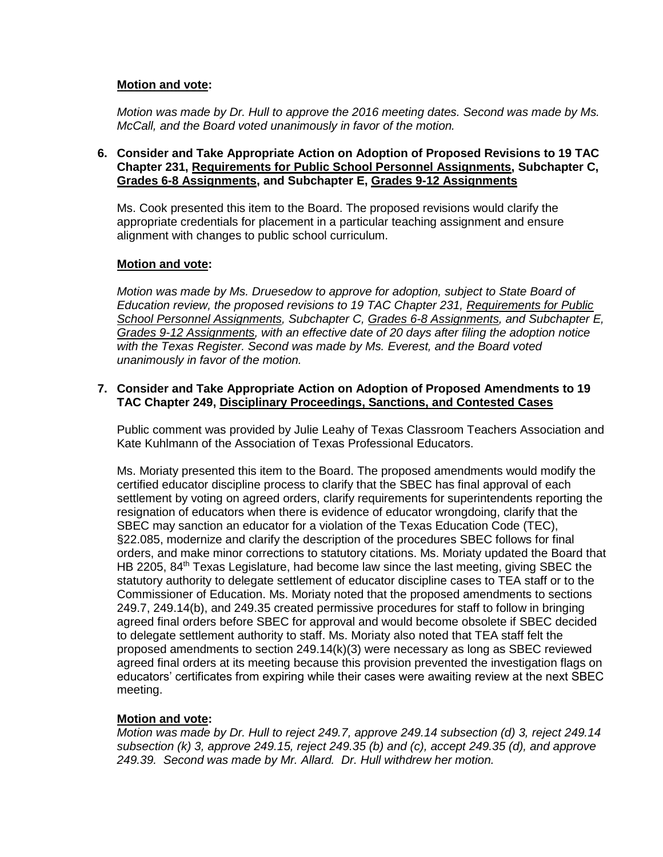# **Motion and vote:**

*Motion was made by Dr. Hull to approve the 2016 meeting dates. Second was made by Ms. McCall, and the Board voted unanimously in favor of the motion.*

## **6. Consider and Take Appropriate Action on Adoption of Proposed Revisions to 19 TAC Chapter 231, Requirements for Public School Personnel Assignments, Subchapter C, Grades 6-8 Assignments, and Subchapter E, Grades 9-12 Assignments**

Ms. Cook presented this item to the Board. The proposed revisions would clarify the appropriate credentials for placement in a particular teaching assignment and ensure alignment with changes to public school curriculum.

# **Motion and vote:**

*Motion was made by Ms. Druesedow to approve for adoption, subject to State Board of Education review, the proposed revisions to 19 TAC Chapter 231, Requirements for Public School Personnel Assignments, Subchapter C, Grades 6-8 Assignments, and Subchapter E, Grades 9-12 Assignments, with an effective date of 20 days after filing the adoption notice with the Texas Register. Second was made by Ms. Everest, and the Board voted unanimously in favor of the motion.*

## **7. Consider and Take Appropriate Action on Adoption of Proposed Amendments to 19 TAC Chapter 249, Disciplinary Proceedings, Sanctions, and Contested Cases**

Public comment was provided by Julie Leahy of Texas Classroom Teachers Association and Kate Kuhlmann of the Association of Texas Professional Educators.

Ms. Moriaty presented this item to the Board. The proposed amendments would modify the certified educator discipline process to clarify that the SBEC has final approval of each settlement by voting on agreed orders, clarify requirements for superintendents reporting the resignation of educators when there is evidence of educator wrongdoing, clarify that the SBEC may sanction an educator for a violation of the Texas Education Code (TEC), §22.085, modernize and clarify the description of the procedures SBEC follows for final orders, and make minor corrections to statutory citations. Ms. Moriaty updated the Board that HB 2205, 84<sup>th</sup> Texas Legislature, had become law since the last meeting, giving SBEC the statutory authority to delegate settlement of educator discipline cases to TEA staff or to the Commissioner of Education. Ms. Moriaty noted that the proposed amendments to sections 249.7, 249.14(b), and 249.35 created permissive procedures for staff to follow in bringing agreed final orders before SBEC for approval and would become obsolete if SBEC decided to delegate settlement authority to staff. Ms. Moriaty also noted that TEA staff felt the proposed amendments to section 249.14(k)(3) were necessary as long as SBEC reviewed agreed final orders at its meeting because this provision prevented the investigation flags on educators' certificates from expiring while their cases were awaiting review at the next SBEC meeting.

# **Motion and vote:**

*Motion was made by Dr. Hull to reject 249.7, approve 249.14 subsection (d) 3, reject 249.14 subsection (k) 3, approve 249.15, reject 249.35 (b) and (c), accept 249.35 (d), and approve 249.39. Second was made by Mr. Allard. Dr. Hull withdrew her motion.*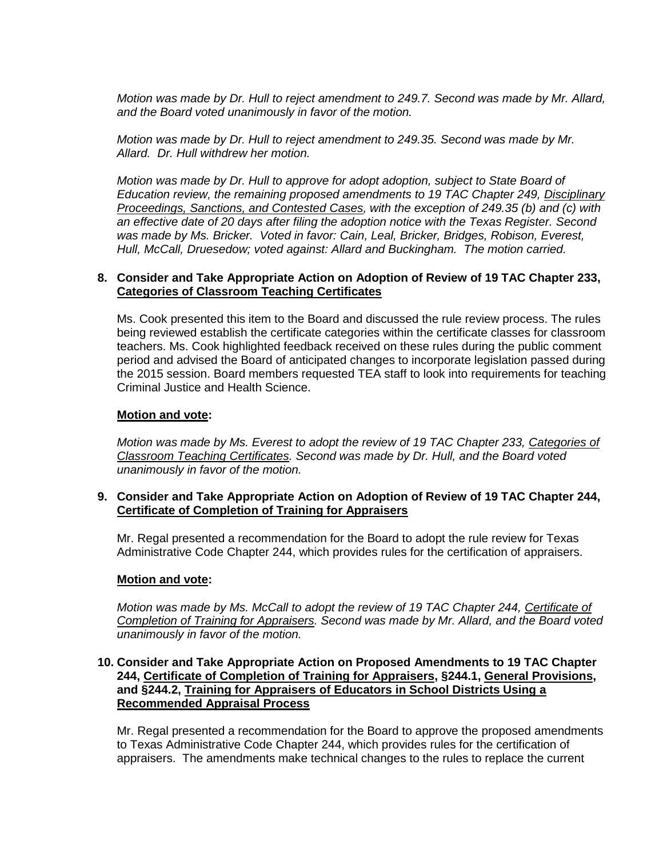*Motion was made by Dr. Hull to reject amendment to 249.7. Second was made by Mr. Allard, and the Board voted unanimously in favor of the motion.*

*Motion was made by Dr. Hull to reject amendment to 249.35. Second was made by Mr. Allard. Dr. Hull withdrew her motion.*

*Motion was made by Dr. Hull to approve for adopt adoption, subject to State Board of Education review, the remaining proposed amendments to 19 TAC Chapter 249, Disciplinary Proceedings, Sanctions, and Contested Cases, with the exception of 249.35 (b) and (c) with an effective date of 20 days after filing the adoption notice with the Texas Register. Second was made by Ms. Bricker. Voted in favor: Cain, Leal, Bricker, Bridges, Robison, Everest, Hull, McCall, Druesedow; voted against: Allard and Buckingham. The motion carried.*

# **8. Consider and Take Appropriate Action on Adoption of Review of 19 TAC Chapter 233, Categories of Classroom Teaching Certificates**

Ms. Cook presented this item to the Board and discussed the rule review process. The rules being reviewed establish the certificate categories within the certificate classes for classroom teachers. Ms. Cook highlighted feedback received on these rules during the public comment period and advised the Board of anticipated changes to incorporate legislation passed during the 2015 session. Board members requested TEA staff to look into requirements for teaching Criminal Justice and Health Science.

# **Motion and vote:**

*Motion was made by Ms. Everest to adopt the review of 19 TAC Chapter 233, Categories of Classroom Teaching Certificates. Second was made by Dr. Hull, and the Board voted unanimously in favor of the motion.*

# **9. Consider and Take Appropriate Action on Adoption of Review of 19 TAC Chapter 244, Certificate of Completion of Training for Appraisers**

Mr. Regal presented a recommendation for the Board to adopt the rule review for Texas Administrative Code Chapter 244, which provides rules for the certification of appraisers.

#### **Motion and vote:**

*Motion was made by Ms. McCall to adopt the review of 19 TAC Chapter 244, Certificate of Completion of Training for Appraisers. Second was made by Mr. Allard, and the Board voted unanimously in favor of the motion.*

## **10. Consider and Take Appropriate Action on Proposed Amendments to 19 TAC Chapter 244, Certificate of Completion of Training for Appraisers, §244.1, General Provisions, and §244.2, Training for Appraisers of Educators in School Districts Using a Recommended Appraisal Process**

Mr. Regal presented a recommendation for the Board to approve the proposed amendments to Texas Administrative Code Chapter 244, which provides rules for the certification of appraisers. The amendments make technical changes to the rules to replace the current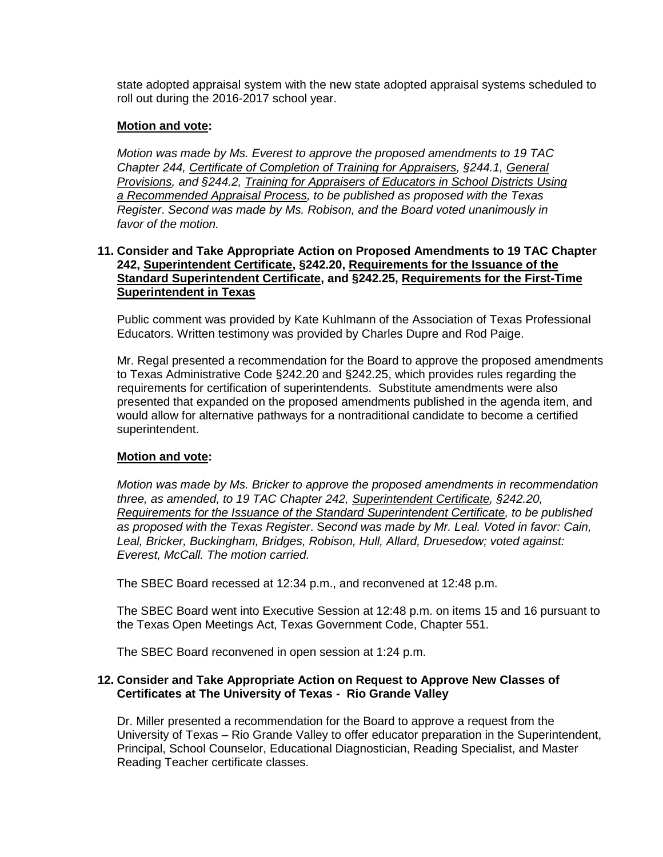state adopted appraisal system with the new state adopted appraisal systems scheduled to roll out during the 2016-2017 school year.

# **Motion and vote:**

*Motion was made by Ms. Everest to approve the proposed amendments to 19 TAC Chapter 244, Certificate of Completion of Training for Appraisers, §244.1, General Provisions, and §244.2, Training for Appraisers of Educators in School Districts Using a Recommended Appraisal Process, to be published as proposed with the Texas Register*. *Second was made by Ms. Robison, and the Board voted unanimously in favor of the motion.*

## **11. Consider and Take Appropriate Action on Proposed Amendments to 19 TAC Chapter 242, Superintendent Certificate, §242.20, Requirements for the Issuance of the Standard Superintendent Certificate, and §242.25, Requirements for the First-Time Superintendent in Texas**

Public comment was provided by Kate Kuhlmann of the Association of Texas Professional Educators. Written testimony was provided by Charles Dupre and Rod Paige.

Mr. Regal presented a recommendation for the Board to approve the proposed amendments to Texas Administrative Code §242.20 and §242.25, which provides rules regarding the requirements for certification of superintendents. Substitute amendments were also presented that expanded on the proposed amendments published in the agenda item, and would allow for alternative pathways for a nontraditional candidate to become a certified superintendent.

#### **Motion and vote:**

*Motion was made by Ms. Bricker to approve the proposed amendments in recommendation three, as amended, to 19 TAC Chapter 242, Superintendent Certificate, §242.20, Requirements for the Issuance of the Standard Superintendent Certificate, to be published as proposed with the Texas Register*. S*econd was made by Mr. Leal. Voted in favor: Cain, Leal, Bricker, Buckingham, Bridges, Robison, Hull, Allard, Druesedow; voted against: Everest, McCall. The motion carried.*

The SBEC Board recessed at 12:34 p.m., and reconvened at 12:48 p.m.

The SBEC Board went into Executive Session at 12:48 p.m. on items 15 and 16 pursuant to the Texas Open Meetings Act, Texas Government Code, Chapter 551.

The SBEC Board reconvened in open session at 1:24 p.m.

# **12. Consider and Take Appropriate Action on Request to Approve New Classes of Certificates at The University of Texas - Rio Grande Valley**

Dr. Miller presented a recommendation for the Board to approve a request from the University of Texas – Rio Grande Valley to offer educator preparation in the Superintendent, Principal, School Counselor, Educational Diagnostician, Reading Specialist, and Master Reading Teacher certificate classes.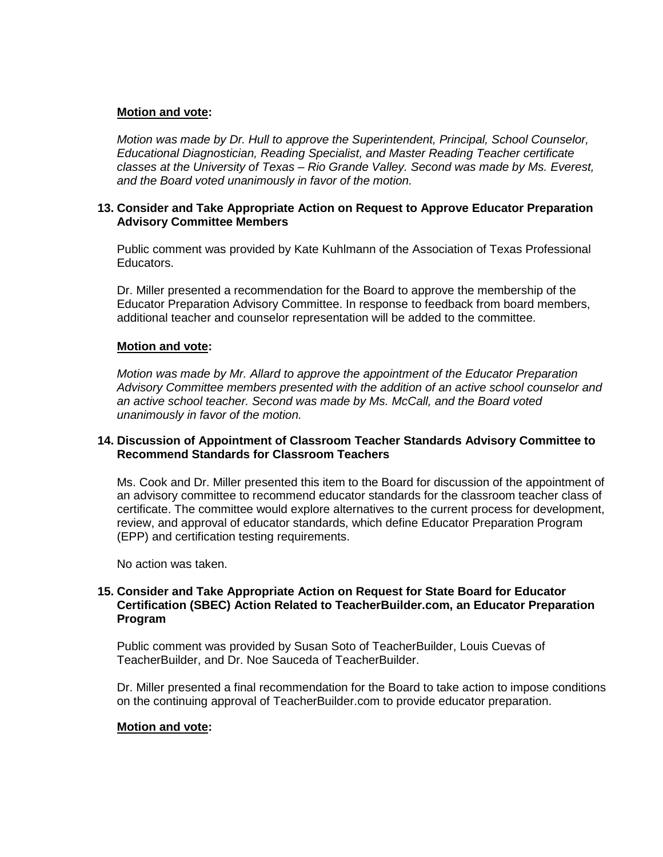# **Motion and vote:**

*Motion was made by Dr. Hull to approve the Superintendent, Principal, School Counselor, Educational Diagnostician, Reading Specialist, and Master Reading Teacher certificate classes at the University of Texas – Rio Grande Valley. Second was made by Ms. Everest, and the Board voted unanimously in favor of the motion.*

## **13. Consider and Take Appropriate Action on Request to Approve Educator Preparation Advisory Committee Members**

Public comment was provided by Kate Kuhlmann of the Association of Texas Professional Educators.

Dr. Miller presented a recommendation for the Board to approve the membership of the Educator Preparation Advisory Committee. In response to feedback from board members, additional teacher and counselor representation will be added to the committee.

#### **Motion and vote:**

*Motion was made by Mr. Allard to approve the appointment of the Educator Preparation Advisory Committee members presented with the addition of an active school counselor and an active school teacher. Second was made by Ms. McCall, and the Board voted unanimously in favor of the motion.*

# **14. Discussion of Appointment of Classroom Teacher Standards Advisory Committee to Recommend Standards for Classroom Teachers**

Ms. Cook and Dr. Miller presented this item to the Board for discussion of the appointment of an advisory committee to recommend educator standards for the classroom teacher class of certificate. The committee would explore alternatives to the current process for development, review, and approval of educator standards, which define Educator Preparation Program (EPP) and certification testing requirements.

No action was taken.

## **15. Consider and Take Appropriate Action on Request for State Board for Educator Certification (SBEC) Action Related to TeacherBuilder.com, an Educator Preparation Program**

Public comment was provided by Susan Soto of TeacherBuilder, Louis Cuevas of TeacherBuilder, and Dr. Noe Sauceda of TeacherBuilder.

Dr. Miller presented a final recommendation for the Board to take action to impose conditions on the continuing approval of TeacherBuilder.com to provide educator preparation.

#### **Motion and vote:**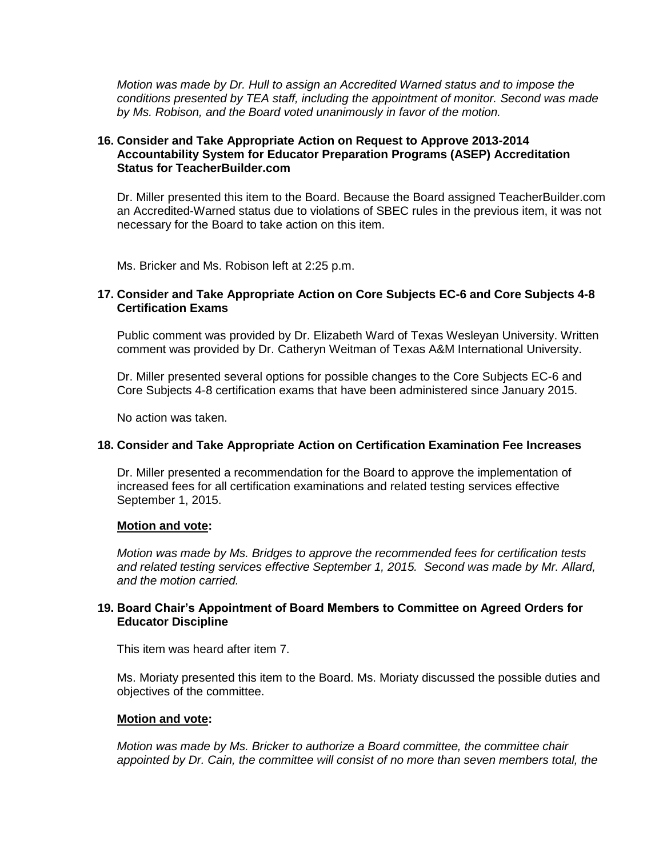*Motion was made by Dr. Hull to assign an Accredited Warned status and to impose the conditions presented by TEA staff, including the appointment of monitor. Second was made by Ms. Robison, and the Board voted unanimously in favor of the motion.*

# **16. Consider and Take Appropriate Action on Request to Approve 2013-2014 Accountability System for Educator Preparation Programs (ASEP) Accreditation Status for TeacherBuilder.com**

Dr. Miller presented this item to the Board. Because the Board assigned TeacherBuilder.com an Accredited-Warned status due to violations of SBEC rules in the previous item, it was not necessary for the Board to take action on this item.

Ms. Bricker and Ms. Robison left at 2:25 p.m.

# **17. Consider and Take Appropriate Action on Core Subjects EC-6 and Core Subjects 4-8 Certification Exams**

Public comment was provided by Dr. Elizabeth Ward of Texas Wesleyan University. Written comment was provided by Dr. Catheryn Weitman of Texas A&M International University.

Dr. Miller presented several options for possible changes to the Core Subjects EC-6 and Core Subjects 4-8 certification exams that have been administered since January 2015.

No action was taken.

#### **18. Consider and Take Appropriate Action on Certification Examination Fee Increases**

Dr. Miller presented a recommendation for the Board to approve the implementation of increased fees for all certification examinations and related testing services effective September 1, 2015.

#### **Motion and vote:**

*Motion was made by Ms. Bridges to approve the recommended fees for certification tests and related testing services effective September 1, 2015. Second was made by Mr. Allard, and the motion carried.*

# **19. Board Chair's Appointment of Board Members to Committee on Agreed Orders for Educator Discipline**

This item was heard after item 7.

Ms. Moriaty presented this item to the Board. Ms. Moriaty discussed the possible duties and objectives of the committee.

#### **Motion and vote:**

*Motion was made by Ms. Bricker to authorize a Board committee, the committee chair appointed by Dr. Cain, the committee will consist of no more than seven members total, the*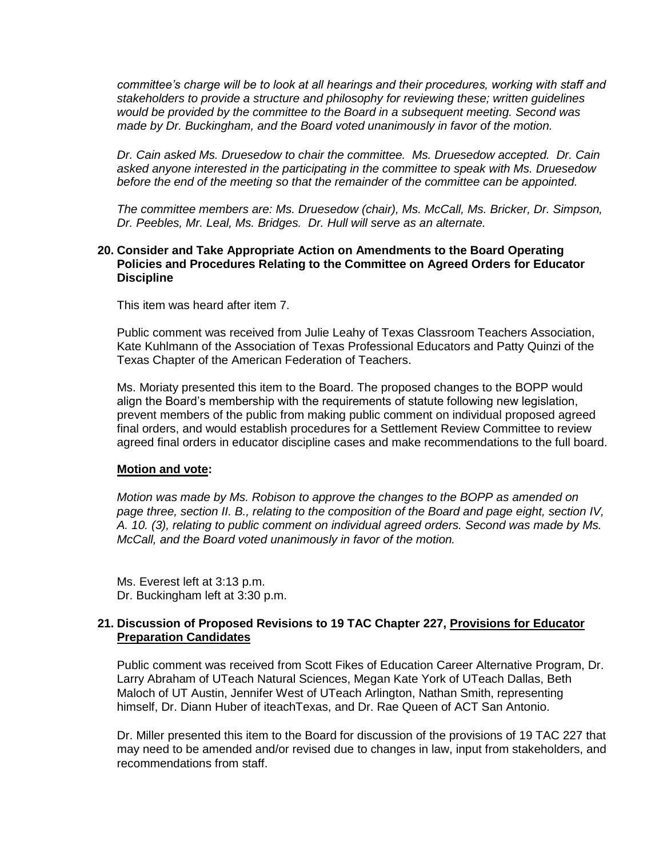*committee's charge will be to look at all hearings and their procedures, working with staff and stakeholders to provide a structure and philosophy for reviewing these; written guidelines would be provided by the committee to the Board in a subsequent meeting. Second was made by Dr. Buckingham, and the Board voted unanimously in favor of the motion.*

*Dr. Cain asked Ms. Druesedow to chair the committee. Ms. Druesedow accepted. Dr. Cain asked anyone interested in the participating in the committee to speak with Ms. Druesedow before the end of the meeting so that the remainder of the committee can be appointed.*

*The committee members are: Ms. Druesedow (chair), Ms. McCall, Ms. Bricker, Dr. Simpson, Dr. Peebles, Mr. Leal, Ms. Bridges. Dr. Hull will serve as an alternate.*

#### **20. Consider and Take Appropriate Action on Amendments to the Board Operating Policies and Procedures Relating to the Committee on Agreed Orders for Educator Discipline**

This item was heard after item 7.

Public comment was received from Julie Leahy of Texas Classroom Teachers Association, Kate Kuhlmann of the Association of Texas Professional Educators and Patty Quinzi of the Texas Chapter of the American Federation of Teachers.

Ms. Moriaty presented this item to the Board. The proposed changes to the BOPP would align the Board's membership with the requirements of statute following new legislation, prevent members of the public from making public comment on individual proposed agreed final orders, and would establish procedures for a Settlement Review Committee to review agreed final orders in educator discipline cases and make recommendations to the full board.

#### **Motion and vote:**

*Motion was made by Ms. Robison to approve the changes to the BOPP as amended on page three, section II. B., relating to the composition of the Board and page eight, section IV, A. 10. (3), relating to public comment on individual agreed orders. Second was made by Ms. McCall, and the Board voted unanimously in favor of the motion.*

Ms. Everest left at 3:13 p.m. Dr. Buckingham left at 3:30 p.m.

# **21. Discussion of Proposed Revisions to 19 TAC Chapter 227, Provisions for Educator Preparation Candidates**

Public comment was received from Scott Fikes of Education Career Alternative Program, Dr. Larry Abraham of UTeach Natural Sciences, Megan Kate York of UTeach Dallas, Beth Maloch of UT Austin, Jennifer West of UTeach Arlington, Nathan Smith, representing himself, Dr. Diann Huber of iteachTexas, and Dr. Rae Queen of ACT San Antonio.

Dr. Miller presented this item to the Board for discussion of the provisions of 19 TAC 227 that may need to be amended and/or revised due to changes in law, input from stakeholders, and recommendations from staff.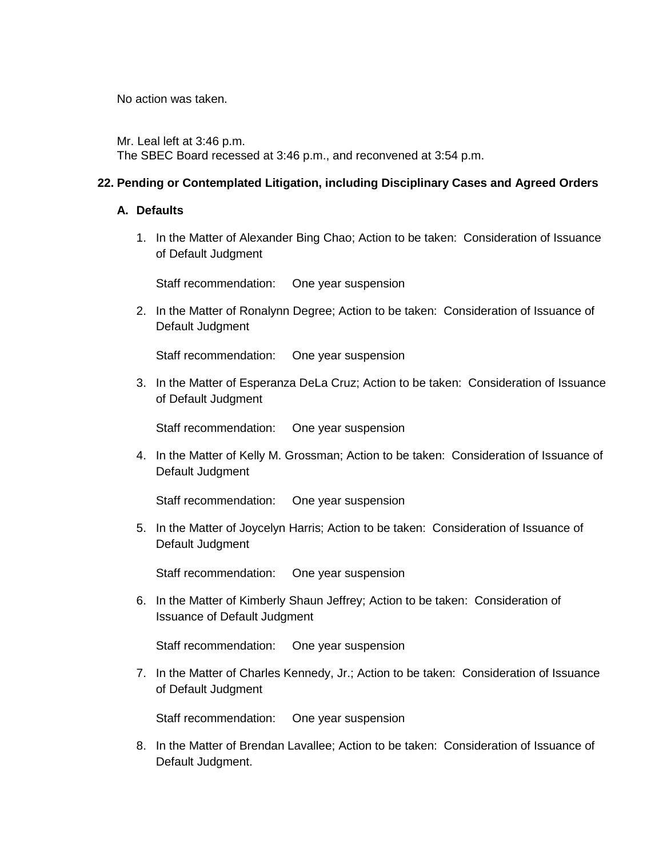No action was taken.

Mr. Leal left at 3:46 p.m. The SBEC Board recessed at 3:46 p.m., and reconvened at 3:54 p.m.

# **22. Pending or Contemplated Litigation, including Disciplinary Cases and Agreed Orders**

# **A. Defaults**

1. In the Matter of Alexander Bing Chao; Action to be taken: Consideration of Issuance of Default Judgment

Staff recommendation: One year suspension

2. In the Matter of Ronalynn Degree; Action to be taken: Consideration of Issuance of Default Judgment

Staff recommendation: One year suspension

3. In the Matter of Esperanza DeLa Cruz; Action to be taken: Consideration of Issuance of Default Judgment

Staff recommendation: One year suspension

4. In the Matter of Kelly M. Grossman; Action to be taken: Consideration of Issuance of Default Judgment

Staff recommendation: One year suspension

5. In the Matter of Joycelyn Harris; Action to be taken: Consideration of Issuance of Default Judgment

Staff recommendation: One year suspension

6. In the Matter of Kimberly Shaun Jeffrey; Action to be taken: Consideration of Issuance of Default Judgment

Staff recommendation: One year suspension

7. In the Matter of Charles Kennedy, Jr.; Action to be taken: Consideration of Issuance of Default Judgment

Staff recommendation: One year suspension

8. In the Matter of Brendan Lavallee; Action to be taken: Consideration of Issuance of Default Judgment.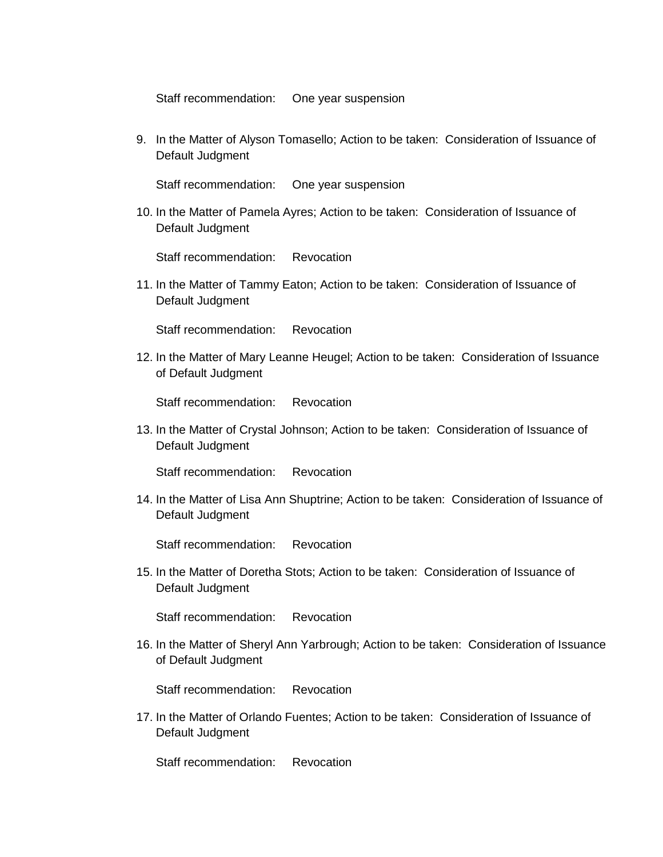Staff recommendation: One year suspension

9. In the Matter of Alyson Tomasello; Action to be taken: Consideration of Issuance of Default Judgment

Staff recommendation: One year suspension

10. In the Matter of Pamela Ayres; Action to be taken: Consideration of Issuance of Default Judgment

Staff recommendation: Revocation

11. In the Matter of Tammy Eaton; Action to be taken: Consideration of Issuance of Default Judgment

Staff recommendation: Revocation

12. In the Matter of Mary Leanne Heugel; Action to be taken: Consideration of Issuance of Default Judgment

Staff recommendation: Revocation

13. In the Matter of Crystal Johnson; Action to be taken: Consideration of Issuance of Default Judgment

Staff recommendation: Revocation

14. In the Matter of Lisa Ann Shuptrine; Action to be taken: Consideration of Issuance of Default Judgment

Staff recommendation: Revocation

15. In the Matter of Doretha Stots; Action to be taken: Consideration of Issuance of Default Judgment

Staff recommendation: Revocation

16. In the Matter of Sheryl Ann Yarbrough; Action to be taken: Consideration of Issuance of Default Judgment

Staff recommendation: Revocation

17. In the Matter of Orlando Fuentes; Action to be taken: Consideration of Issuance of Default Judgment

Staff recommendation: Revocation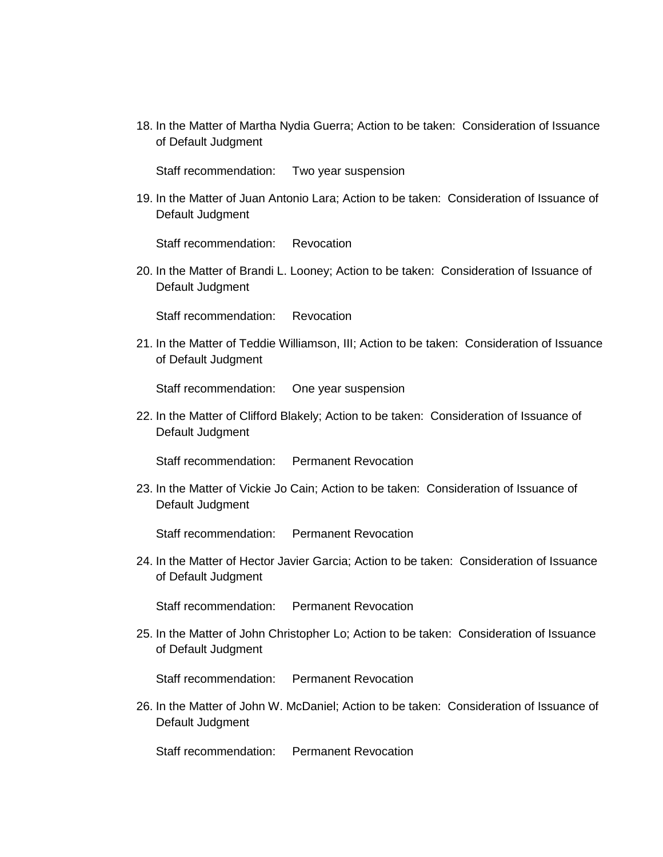18. In the Matter of Martha Nydia Guerra; Action to be taken: Consideration of Issuance of Default Judgment

Staff recommendation: Two year suspension

19. In the Matter of Juan Antonio Lara; Action to be taken: Consideration of Issuance of Default Judgment

Staff recommendation: Revocation

20. In the Matter of Brandi L. Looney; Action to be taken: Consideration of Issuance of Default Judgment

Staff recommendation: Revocation

21. In the Matter of Teddie Williamson, III; Action to be taken: Consideration of Issuance of Default Judgment

Staff recommendation: One year suspension

22. In the Matter of Clifford Blakely; Action to be taken: Consideration of Issuance of Default Judgment

Staff recommendation: Permanent Revocation

23. In the Matter of Vickie Jo Cain; Action to be taken: Consideration of Issuance of Default Judgment

Staff recommendation: Permanent Revocation

24. In the Matter of Hector Javier Garcia; Action to be taken: Consideration of Issuance of Default Judgment

Staff recommendation: Permanent Revocation

25. In the Matter of John Christopher Lo; Action to be taken: Consideration of Issuance of Default Judgment

Staff recommendation: Permanent Revocation

26. In the Matter of John W. McDaniel; Action to be taken: Consideration of Issuance of Default Judgment

Staff recommendation: Permanent Revocation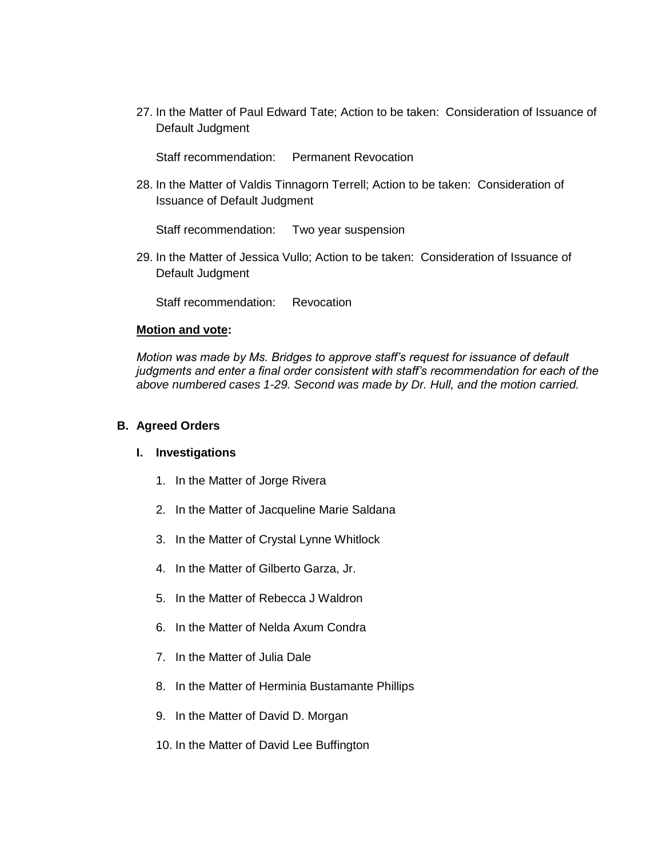27. In the Matter of Paul Edward Tate; Action to be taken: Consideration of Issuance of Default Judgment

Staff recommendation: Permanent Revocation

28. In the Matter of Valdis Tinnagorn Terrell; Action to be taken: Consideration of Issuance of Default Judgment

Staff recommendation: Two year suspension

29. In the Matter of Jessica Vullo; Action to be taken: Consideration of Issuance of Default Judgment

Staff recommendation: Revocation

#### **Motion and vote:**

*Motion was made by Ms. Bridges to approve staff's request for issuance of default judgments and enter a final order consistent with staff's recommendation for each of the above numbered cases 1-29. Second was made by Dr. Hull, and the motion carried.*

## **B. Agreed Orders**

#### **I. Investigations**

- 1. In the Matter of Jorge Rivera
- 2. In the Matter of Jacqueline Marie Saldana
- 3. In the Matter of Crystal Lynne Whitlock
- 4. In the Matter of Gilberto Garza, Jr.
- 5. In the Matter of Rebecca J Waldron
- 6. In the Matter of Nelda Axum Condra
- 7. In the Matter of Julia Dale
- 8. In the Matter of Herminia Bustamante Phillips
- 9. In the Matter of David D. Morgan
- 10. In the Matter of David Lee Buffington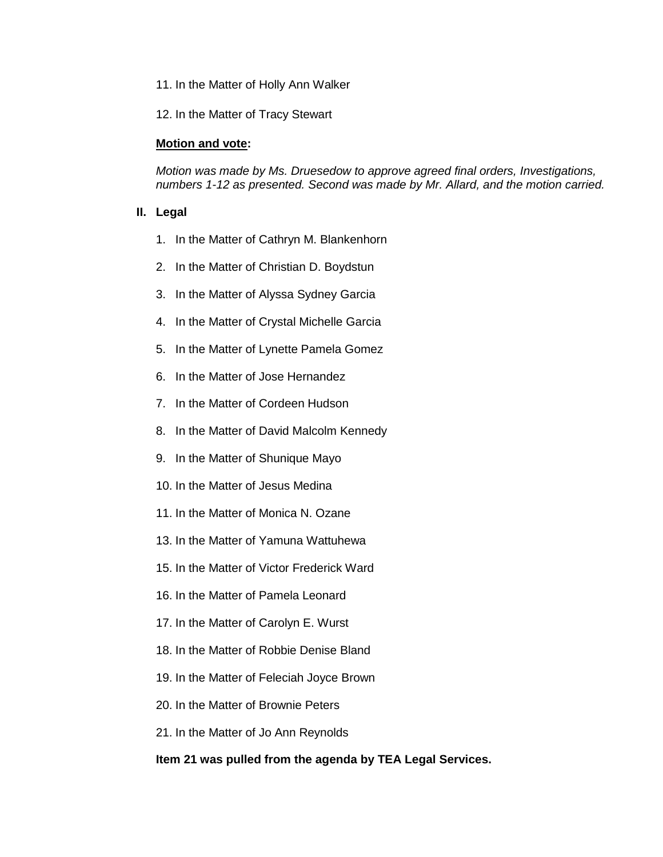11. In the Matter of Holly Ann Walker

12. In the Matter of Tracy Stewart

#### **Motion and vote:**

*Motion was made by Ms. Druesedow to approve agreed final orders, Investigations, numbers 1-12 as presented. Second was made by Mr. Allard, and the motion carried.*

#### **II. Legal**

- 1. In the Matter of Cathryn M. Blankenhorn
- 2. In the Matter of Christian D. Boydstun
- 3. In the Matter of Alyssa Sydney Garcia
- 4. In the Matter of Crystal Michelle Garcia
- 5. In the Matter of Lynette Pamela Gomez
- 6. In the Matter of Jose Hernandez
- 7. In the Matter of Cordeen Hudson
- 8. In the Matter of David Malcolm Kennedy
- 9. In the Matter of Shunique Mayo
- 10. In the Matter of Jesus Medina
- 11. In the Matter of Monica N. Ozane
- 13. In the Matter of Yamuna Wattuhewa
- 15. In the Matter of Victor Frederick Ward
- 16. In the Matter of Pamela Leonard
- 17. In the Matter of Carolyn E. Wurst
- 18. In the Matter of Robbie Denise Bland
- 19. In the Matter of Feleciah Joyce Brown
- 20. In the Matter of Brownie Peters
- 21. In the Matter of Jo Ann Reynolds

#### **Item 21 was pulled from the agenda by TEA Legal Services.**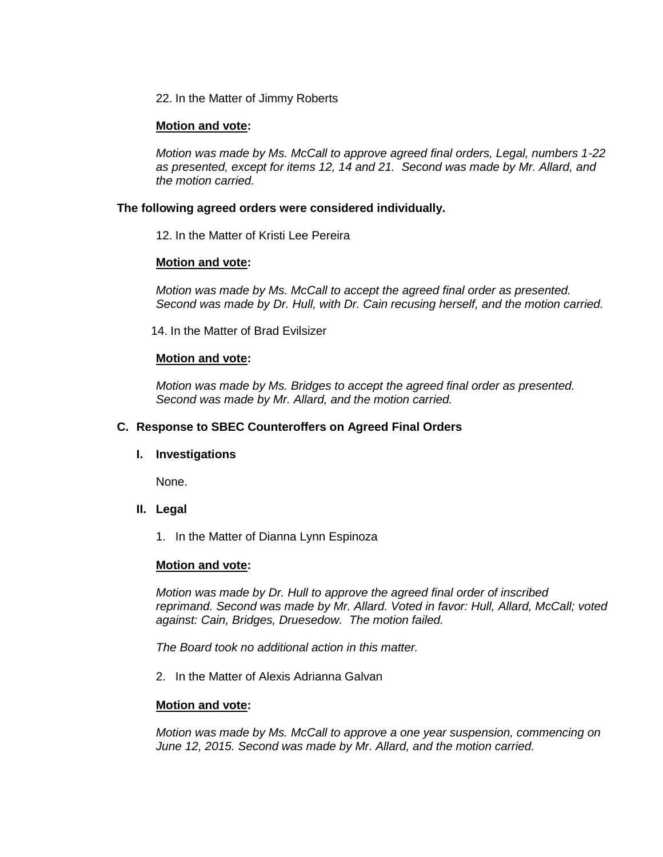22. In the Matter of Jimmy Roberts

# **Motion and vote:**

*Motion was made by Ms. McCall to approve agreed final orders, Legal, numbers 1-22 as presented, except for items 12, 14 and 21. Second was made by Mr. Allard, and the motion carried.*

# **The following agreed orders were considered individually.**

12. In the Matter of Kristi Lee Pereira

# **Motion and vote:**

*Motion was made by Ms. McCall to accept the agreed final order as presented. Second was made by Dr. Hull, with Dr. Cain recusing herself, and the motion carried.*

14. In the Matter of Brad Evilsizer

#### **Motion and vote:**

*Motion was made by Ms. Bridges to accept the agreed final order as presented. Second was made by Mr. Allard, and the motion carried.*

# **C. Response to SBEC Counteroffers on Agreed Final Orders**

#### **I. Investigations**

None.

# **II. Legal**

1. In the Matter of Dianna Lynn Espinoza

#### **Motion and vote:**

*Motion was made by Dr. Hull to approve the agreed final order of inscribed reprimand. Second was made by Mr. Allard. Voted in favor: Hull, Allard, McCall; voted against: Cain, Bridges, Druesedow. The motion failed.*

*The Board took no additional action in this matter.*

2. In the Matter of Alexis Adrianna Galvan

#### **Motion and vote:**

*Motion was made by Ms. McCall to approve a one year suspension, commencing on June 12, 2015. Second was made by Mr. Allard, and the motion carried.*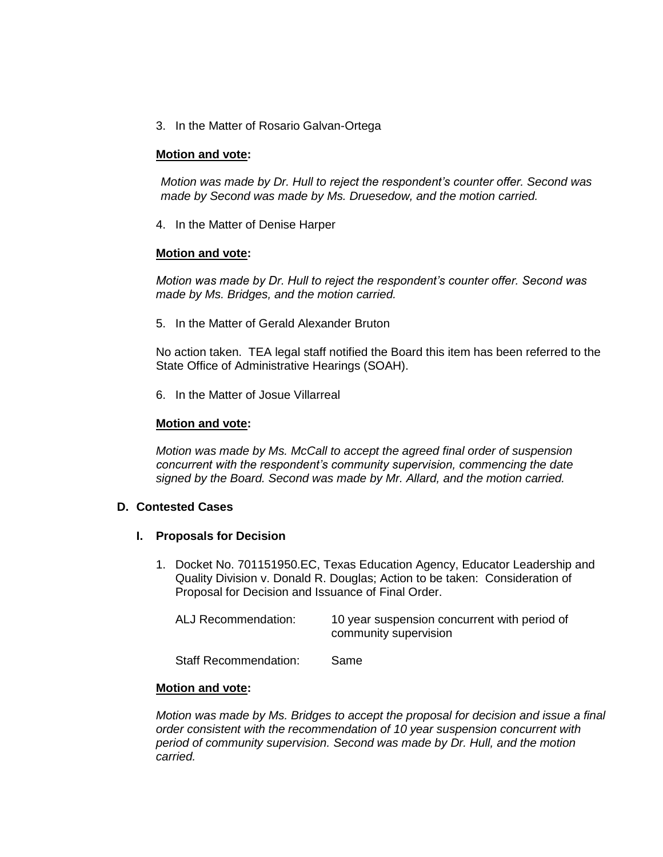3. In the Matter of Rosario Galvan-Ortega

# **Motion and vote:**

*Motion was made by Dr. Hull to reject the respondent's counter offer. Second was made by Second was made by Ms. Druesedow, and the motion carried.*

4. In the Matter of Denise Harper

#### **Motion and vote:**

*Motion was made by Dr. Hull to reject the respondent's counter offer. Second was made by Ms. Bridges, and the motion carried.*

5. In the Matter of Gerald Alexander Bruton

No action taken. TEA legal staff notified the Board this item has been referred to the State Office of Administrative Hearings (SOAH).

6. In the Matter of Josue Villarreal

## **Motion and vote:**

*Motion was made by Ms. McCall to accept the agreed final order of suspension concurrent with the respondent's community supervision, commencing the date signed by the Board. Second was made by Mr. Allard, and the motion carried.*

# **D. Contested Cases**

#### **I. Proposals for Decision**

1. Docket No. 701151950.EC, Texas Education Agency, Educator Leadership and Quality Division v. Donald R. Douglas; Action to be taken: Consideration of Proposal for Decision and Issuance of Final Order.

| ALJ Recommendation:   | 10 year suspension concurrent with period of<br>community supervision |
|-----------------------|-----------------------------------------------------------------------|
| Staff Recommendation: | Same                                                                  |

#### **Motion and vote:**

*Motion was made by Ms. Bridges to accept the proposal for decision and issue a final order consistent with the recommendation of 10 year suspension concurrent with period of community supervision. Second was made by Dr. Hull, and the motion carried.*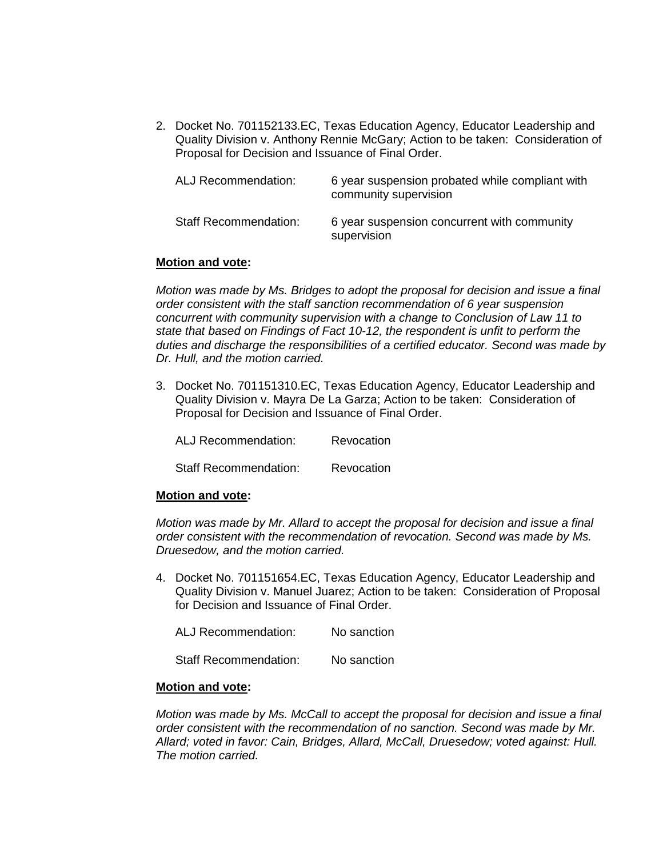2. Docket No. 701152133.EC, Texas Education Agency, Educator Leadership and Quality Division v. Anthony Rennie McGary; Action to be taken: Consideration of Proposal for Decision and Issuance of Final Order.

| ALJ Recommendation:          | 6 year suspension probated while compliant with<br>community supervision |
|------------------------------|--------------------------------------------------------------------------|
| <b>Staff Recommendation:</b> | 6 year suspension concurrent with community<br>supervision               |

#### **Motion and vote:**

*Motion was made by Ms. Bridges to adopt the proposal for decision and issue a final order consistent with the staff sanction recommendation of 6 year suspension concurrent with community supervision with a change to Conclusion of Law 11 to state that based on Findings of Fact 10-12, the respondent is unfit to perform the duties and discharge the responsibilities of a certified educator. Second was made by Dr. Hull, and the motion carried.*

3. Docket No. 701151310.EC, Texas Education Agency, Educator Leadership and Quality Division v. Mayra De La Garza; Action to be taken: Consideration of Proposal for Decision and Issuance of Final Order.

ALJ Recommendation: Revocation

Staff Recommendation: Revocation

#### **Motion and vote:**

*Motion was made by Mr. Allard to accept the proposal for decision and issue a final order consistent with the recommendation of revocation. Second was made by Ms. Druesedow, and the motion carried.*

4. Docket No. 701151654.EC, Texas Education Agency, Educator Leadership and Quality Division v. Manuel Juarez; Action to be taken: Consideration of Proposal for Decision and Issuance of Final Order.

ALJ Recommendation: No sanction

Staff Recommendation: No sanction

#### **Motion and vote:**

*Motion was made by Ms. McCall to accept the proposal for decision and issue a final order consistent with the recommendation of no sanction. Second was made by Mr. Allard; voted in favor: Cain, Bridges, Allard, McCall, Druesedow; voted against: Hull. The motion carried.*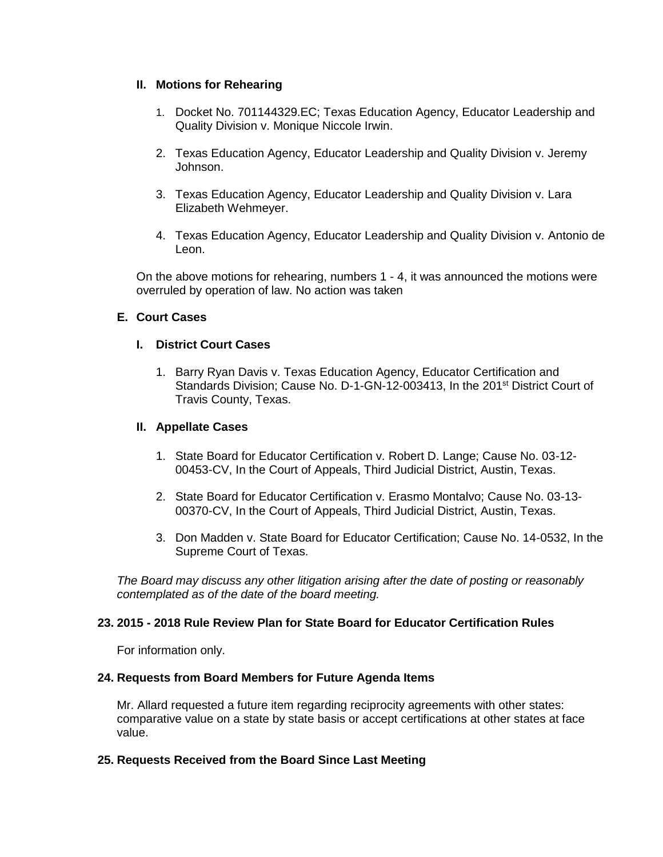# **II. Motions for Rehearing**

- 1. Docket No. 701144329.EC; Texas Education Agency, Educator Leadership and Quality Division v. Monique Niccole Irwin.
- 2. Texas Education Agency, Educator Leadership and Quality Division v. Jeremy Johnson.
- 3. Texas Education Agency, Educator Leadership and Quality Division v. Lara Elizabeth Wehmeyer.
- 4. Texas Education Agency, Educator Leadership and Quality Division v. Antonio de Leon.

On the above motions for rehearing, numbers 1 - 4, it was announced the motions were overruled by operation of law. No action was taken

# **E. Court Cases**

# **I. District Court Cases**

1. Barry Ryan Davis v. Texas Education Agency, Educator Certification and Standards Division; Cause No. D-1-GN-12-003413, In the 201<sup>st</sup> District Court of Travis County, Texas.

# **II. Appellate Cases**

- 1. State Board for Educator Certification v. Robert D. Lange; Cause No. 03-12- 00453-CV, In the Court of Appeals, Third Judicial District, Austin, Texas.
- 2. State Board for Educator Certification v. Erasmo Montalvo; Cause No. 03-13- 00370-CV, In the Court of Appeals, Third Judicial District, Austin, Texas.
- 3. Don Madden v. State Board for Educator Certification; Cause No. 14-0532, In the Supreme Court of Texas.

*The Board may discuss any other litigation arising after the date of posting or reasonably contemplated as of the date of the board meeting.*

# **23. 2015 - 2018 Rule Review Plan for State Board for Educator Certification Rules**

For information only.

#### **24. Requests from Board Members for Future Agenda Items**

Mr. Allard requested a future item regarding reciprocity agreements with other states: comparative value on a state by state basis or accept certifications at other states at face value.

# **25. Requests Received from the Board Since Last Meeting**